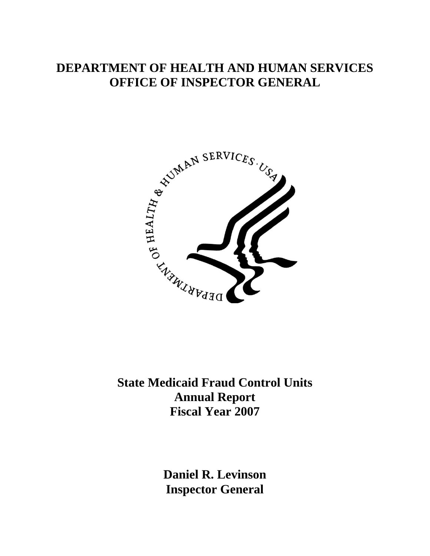# **DEPARTMENT OF HEALTH AND HUMAN SERVICES OFFICE OF INSPECTOR GENERAL**



**State Medicaid Fraud Control Units Annual Report Fiscal Year 2007** 

> **Daniel R. Levinson Inspector General**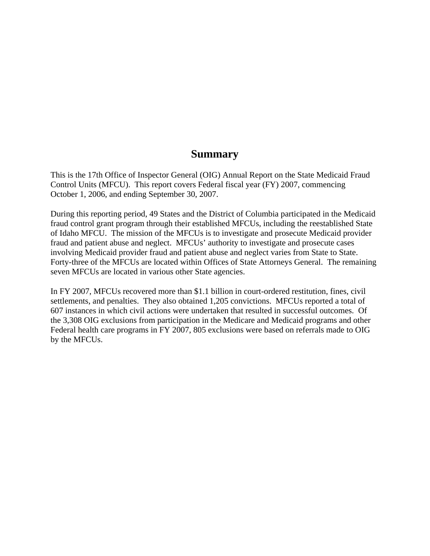## **Summary**

This is the 17th Office of Inspector General (OIG) Annual Report on the State Medicaid Fraud Control Units (MFCU). This report covers Federal fiscal year (FY) 2007, commencing October 1, 2006, and ending September 30, 2007.

During this reporting period, 49 States and the District of Columbia participated in the Medicaid fraud control grant program through their established MFCUs, including the reestablished State of Idaho MFCU. The mission of the MFCUs is to investigate and prosecute Medicaid provider fraud and patient abuse and neglect. MFCUs' authority to investigate and prosecute cases involving Medicaid provider fraud and patient abuse and neglect varies from State to State. Forty-three of the MFCUs are located within Offices of State Attorneys General. The remaining seven MFCUs are located in various other State agencies.

In FY 2007, MFCUs recovered more than \$1.1 billion in court-ordered restitution, fines, civil settlements, and penalties. They also obtained 1,205 convictions. MFCUs reported a total of 607 instances in which civil actions were undertaken that resulted in successful outcomes. Of the 3,308 OIG exclusions from participation in the Medicare and Medicaid programs and other Federal health care programs in FY 2007, 805 exclusions were based on referrals made to OIG by the MFCUs.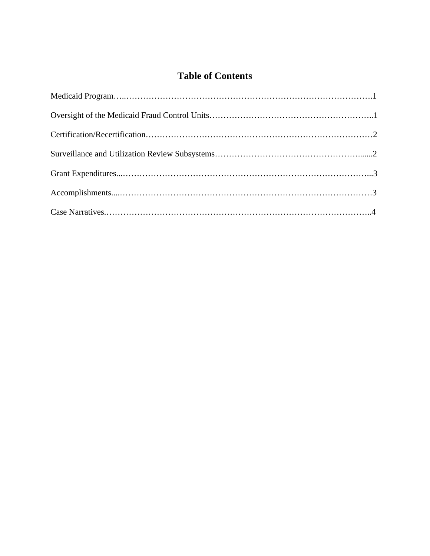## **Table of Contents**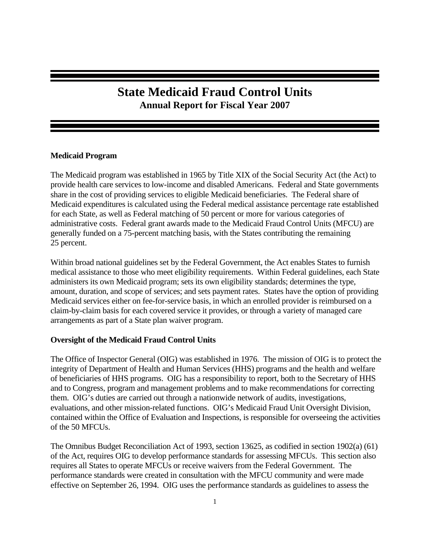## **State Medicaid Fraud Control Units Annual Report for Fiscal Year 2007**

## **Medicaid Program**

The Medicaid program was established in 1965 by Title XIX of the Social Security Act (the Act) to provide health care services to low-income and disabled Americans. Federal and State governments share in the cost of providing services to eligible Medicaid beneficiaries. The Federal share of Medicaid expenditures is calculated using the Federal medical assistance percentage rate established for each State, as well as Federal matching of 50 percent or more for various categories of administrative costs. Federal grant awards made to the Medicaid Fraud Control Units (MFCU) are generally funded on a 75-percent matching basis, with the States contributing the remaining 25 percent.

Within broad national guidelines set by the Federal Government, the Act enables States to furnish medical assistance to those who meet eligibility requirements. Within Federal guidelines, each State administers its own Medicaid program; sets its own eligibility standards; determines the type, amount, duration, and scope of services; and sets payment rates. States have the option of providing Medicaid services either on fee-for-service basis, in which an enrolled provider is reimbursed on a claim-by-claim basis for each covered service it provides, or through a variety of managed care arrangements as part of a State plan waiver program.

## **Oversight of the Medicaid Fraud Control Units**

The Office of Inspector General (OIG) was established in 1976. The mission of OIG is to protect the integrity of Department of Health and Human Services (HHS) programs and the health and welfare of beneficiaries of HHS programs. OIG has a responsibility to report, both to the Secretary of HHS and to Congress, program and management problems and to make recommendations for correcting them. OIG's duties are carried out through a nationwide network of audits, investigations, evaluations, and other mission-related functions. OIG's Medicaid Fraud Unit Oversight Division, contained within the Office of Evaluation and Inspections, is responsible for overseeing the activities of the 50 MFCUs.

The Omnibus Budget Reconciliation Act of 1993, section 13625, as codified in section 1902(a) (61) of the Act, requires OIG to develop performance standards for assessing MFCUs. This section also requires all States to operate MFCUs or receive waivers from the Federal Government. The performance standards were created in consultation with the MFCU community and were made effective on September 26, 1994. OIG uses the performance standards as guidelines to assess the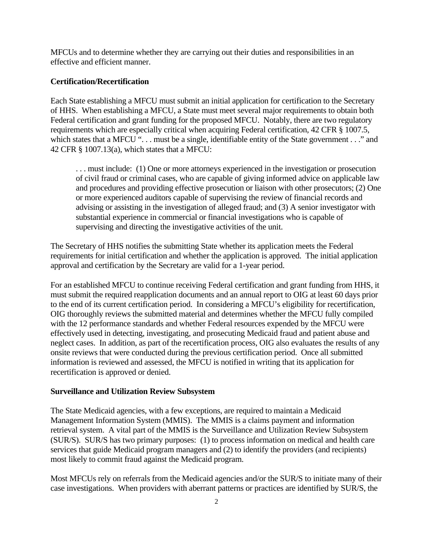MFCUs and to determine whether they are carrying out their duties and responsibilities in an effective and efficient manner.

## **Certification/Recertification**

Each State establishing a MFCU must submit an initial application for certification to the Secretary of HHS. When establishing a MFCU, a State must meet several major requirements to obtain both Federal certification and grant funding for the proposed MFCU. Notably, there are two regulatory requirements which are especially critical when acquiring Federal certification, 42 CFR § 1007.5, which states that a MFCU "... must be a single, identifiable entity of the State government ..." and 42 CFR § 1007.13(a), which states that a MFCU:

. . . must include: (1) One or more attorneys experienced in the investigation or prosecution of civil fraud or criminal cases, who are capable of giving informed advice on applicable law and procedures and providing effective prosecution or liaison with other prosecutors; (2) One or more experienced auditors capable of supervising the review of financial records and advising or assisting in the investigation of alleged fraud; and (3) A senior investigator with substantial experience in commercial or financial investigations who is capable of supervising and directing the investigative activities of the unit.

The Secretary of HHS notifies the submitting State whether its application meets the Federal requirements for initial certification and whether the application is approved. The initial application approval and certification by the Secretary are valid for a 1-year period.

For an established MFCU to continue receiving Federal certification and grant funding from HHS, it must submit the required reapplication documents and an annual report to OIG at least 60 days prior to the end of its current certification period. In considering a MFCU's eligibility for recertification, OIG thoroughly reviews the submitted material and determines whether the MFCU fully compiled with the 12 performance standards and whether Federal resources expended by the MFCU were effectively used in detecting, investigating, and prosecuting Medicaid fraud and patient abuse and neglect cases. In addition, as part of the recertification process, OIG also evaluates the results of any onsite reviews that were conducted during the previous certification period. Once all submitted information is reviewed and assessed, the MFCU is notified in writing that its application for recertification is approved or denied.

#### **Surveillance and Utilization Review Subsystem**

The State Medicaid agencies, with a few exceptions, are required to maintain a Medicaid Management Information System (MMIS). The MMIS is a claims payment and information retrieval system. A vital part of the MMIS is the Surveillance and Utilization Review Subsystem (SUR/S). SUR/S has two primary purposes: (1) to process information on medical and health care services that guide Medicaid program managers and (2) to identify the providers (and recipients) most likely to commit fraud against the Medicaid program.

Most MFCUs rely on referrals from the Medicaid agencies and/or the SUR/S to initiate many of their case investigations. When providers with aberrant patterns or practices are identified by SUR/S, the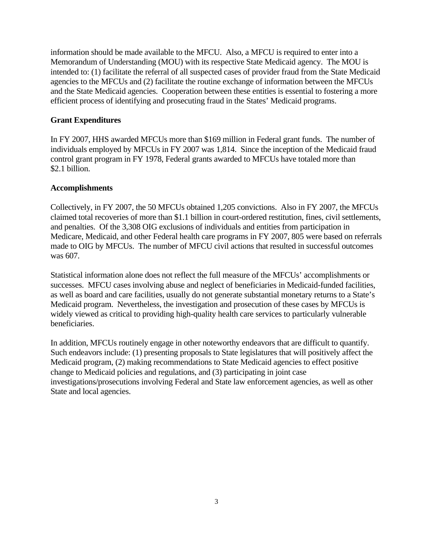information should be made available to the MFCU. Also, a MFCU is required to enter into a Memorandum of Understanding (MOU) with its respective State Medicaid agency. The MOU is intended to: (1) facilitate the referral of all suspected cases of provider fraud from the State Medicaid agencies to the MFCUs and (2) facilitate the routine exchange of information between the MFCUs and the State Medicaid agencies. Cooperation between these entities is essential to fostering a more efficient process of identifying and prosecuting fraud in the States' Medicaid programs.

## **Grant Expenditures**

In FY 2007, HHS awarded MFCUs more than \$169 million in Federal grant funds. The number of individuals employed by MFCUs in FY 2007 was 1,814. Since the inception of the Medicaid fraud control grant program in FY 1978, Federal grants awarded to MFCUs have totaled more than \$2.1 billion.

### **Accomplishments**

Collectively, in FY 2007, the 50 MFCUs obtained 1,205 convictions. Also in FY 2007, the MFCUs claimed total recoveries of more than \$1.1 billion in court-ordered restitution, fines, civil settlements, and penalties. Of the 3,308 OIG exclusions of individuals and entities from participation in Medicare, Medicaid, and other Federal health care programs in FY 2007, 805 were based on referrals made to OIG by MFCUs. The number of MFCU civil actions that resulted in successful outcomes was 607.

Statistical information alone does not reflect the full measure of the MFCUs' accomplishments or successes. MFCU cases involving abuse and neglect of beneficiaries in Medicaid-funded facilities, as well as board and care facilities, usually do not generate substantial monetary returns to a State's Medicaid program. Nevertheless, the investigation and prosecution of these cases by MFCUs is widely viewed as critical to providing high-quality health care services to particularly vulnerable beneficiaries.

In addition, MFCUs routinely engage in other noteworthy endeavors that are difficult to quantify. Such endeavors include: (1) presenting proposals to State legislatures that will positively affect the Medicaid program, (2) making recommendations to State Medicaid agencies to effect positive change to Medicaid policies and regulations, and (3) participating in joint case investigations/prosecutions involving Federal and State law enforcement agencies, as well as other State and local agencies.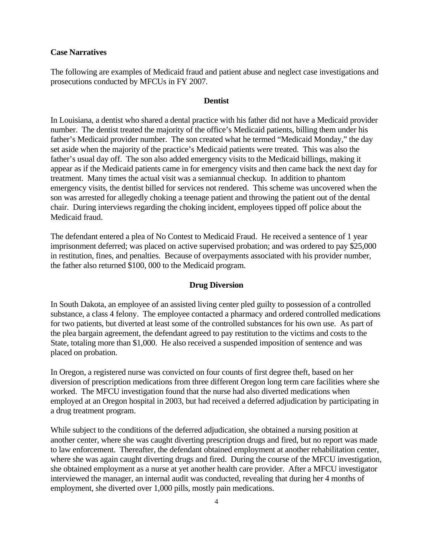#### **Case Narratives**

The following are examples of Medicaid fraud and patient abuse and neglect case investigations and prosecutions conducted by MFCUs in FY 2007.

#### **Dentist**

In Louisiana, a dentist who shared a dental practice with his father did not have a Medicaid provider number. The dentist treated the majority of the office's Medicaid patients, billing them under his father's Medicaid provider number. The son created what he termed "Medicaid Monday," the day set aside when the majority of the practice's Medicaid patients were treated. This was also the father's usual day off. The son also added emergency visits to the Medicaid billings, making it appear as if the Medicaid patients came in for emergency visits and then came back the next day for treatment. Many times the actual visit was a semiannual checkup. In addition to phantom emergency visits, the dentist billed for services not rendered. This scheme was uncovered when the son was arrested for allegedly choking a teenage patient and throwing the patient out of the dental chair. During interviews regarding the choking incident, employees tipped off police about the Medicaid fraud.

The defendant entered a plea of No Contest to Medicaid Fraud. He received a sentence of 1 year imprisonment deferred; was placed on active supervised probation; and was ordered to pay \$25,000 in restitution, fines, and penalties. Because of overpayments associated with his provider number, the father also returned \$100, 000 to the Medicaid program.

#### **Drug Diversion**

In South Dakota, an employee of an assisted living center pled guilty to possession of a controlled substance, a class 4 felony. The employee contacted a pharmacy and ordered controlled medications for two patients, but diverted at least some of the controlled substances for his own use. As part of the plea bargain agreement, the defendant agreed to pay restitution to the victims and costs to the State, totaling more than \$1,000. He also received a suspended imposition of sentence and was placed on probation.

In Oregon, a registered nurse was convicted on four counts of first degree theft, based on her diversion of prescription medications from three different Oregon long term care facilities where she worked. The MFCU investigation found that the nurse had also diverted medications when employed at an Oregon hospital in 2003, but had received a deferred adjudication by participating in a drug treatment program.

While subject to the conditions of the deferred adjudication, she obtained a nursing position at another center, where she was caught diverting prescription drugs and fired, but no report was made to law enforcement. Thereafter, the defendant obtained employment at another rehabilitation center, where she was again caught diverting drugs and fired. During the course of the MFCU investigation, she obtained employment as a nurse at yet another health care provider. After a MFCU investigator interviewed the manager, an internal audit was conducted, revealing that during her 4 months of employment, she diverted over 1,000 pills, mostly pain medications.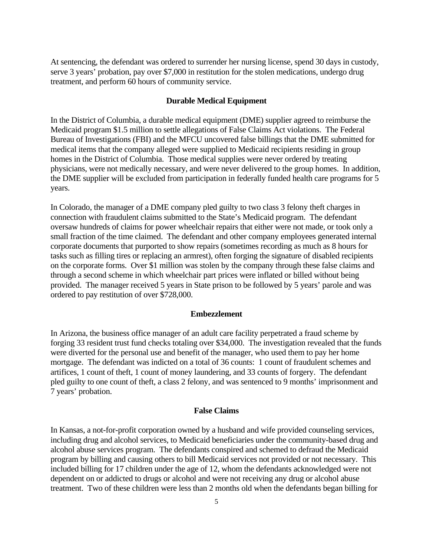At sentencing, the defendant was ordered to surrender her nursing license, spend 30 days in custody, serve 3 years' probation, pay over \$7,000 in restitution for the stolen medications, undergo drug treatment, and perform 60 hours of community service.

#### **Durable Medical Equipment**

In the District of Columbia, a durable medical equipment (DME) supplier agreed to reimburse the Medicaid program \$1.5 million to settle allegations of False Claims Act violations. The Federal Bureau of Investigations (FBI) and the MFCU uncovered false billings that the DME submitted for medical items that the company alleged were supplied to Medicaid recipients residing in group homes in the District of Columbia. Those medical supplies were never ordered by treating physicians, were not medically necessary, and were never delivered to the group homes. In addition, the DME supplier will be excluded from participation in federally funded health care programs for 5 years.

In Colorado, the manager of a DME company pled guilty to two class 3 felony theft charges in connection with fraudulent claims submitted to the State's Medicaid program. The defendant oversaw hundreds of claims for power wheelchair repairs that either were not made, or took only a small fraction of the time claimed. The defendant and other company employees generated internal corporate documents that purported to show repairs (sometimes recording as much as 8 hours for tasks such as filling tires or replacing an armrest), often forging the signature of disabled recipients on the corporate forms. Over \$1 million was stolen by the company through these false claims and through a second scheme in which wheelchair part prices were inflated or billed without being provided. The manager received 5 years in State prison to be followed by 5 years' parole and was ordered to pay restitution of over \$728,000.

#### **Embezzlement**

In Arizona, the business office manager of an adult care facility perpetrated a fraud scheme by forging 33 resident trust fund checks totaling over \$34,000. The investigation revealed that the funds were diverted for the personal use and benefit of the manager, who used them to pay her home mortgage. The defendant was indicted on a total of 36 counts: 1 count of fraudulent schemes and artifices, 1 count of theft, 1 count of money laundering, and 33 counts of forgery. The defendant pled guilty to one count of theft, a class 2 felony, and was sentenced to 9 months' imprisonment and 7 years' probation.

## **False Claims**

In Kansas, a not-for-profit corporation owned by a husband and wife provided counseling services, including drug and alcohol services, to Medicaid beneficiaries under the community-based drug and alcohol abuse services program. The defendants conspired and schemed to defraud the Medicaid program by billing and causing others to bill Medicaid services not provided or not necessary. This included billing for 17 children under the age of 12, whom the defendants acknowledged were not dependent on or addicted to drugs or alcohol and were not receiving any drug or alcohol abuse treatment. Two of these children were less than 2 months old when the defendants began billing for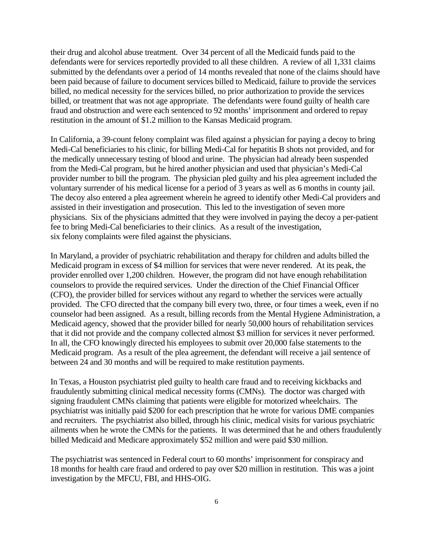their drug and alcohol abuse treatment. Over 34 percent of all the Medicaid funds paid to the defendants were for services reportedly provided to all these children. A review of all 1,331 claims submitted by the defendants over a period of 14 months revealed that none of the claims should have been paid because of failure to document services billed to Medicaid, failure to provide the services billed, no medical necessity for the services billed, no prior authorization to provide the services billed, or treatment that was not age appropriate. The defendants were found guilty of health care fraud and obstruction and were each sentenced to 92 months' imprisonment and ordered to repay restitution in the amount of \$1.2 million to the Kansas Medicaid program.

 fee to bring Medi-Cal beneficiaries to their clinics. As a result of the investigation, six felony complaints were filed against the physicians. In California, a 39-count felony complaint was filed against a physician for paying a decoy to bring Medi-Cal beneficiaries to his clinic, for billing Medi-Cal for hepatitis B shots not provided, and for the medically unnecessary testing of blood and urine. The physician had already been suspended from the Medi-Cal program, but he hired another physician and used that physician's Medi-Cal provider number to bill the program. The physician pled guilty and his plea agreement included the voluntary surrender of his medical license for a period of 3 years as well as 6 months in county jail. The decoy also entered a plea agreement wherein he agreed to identify other Medi-Cal providers and assisted in their investigation and prosecution. This led to the investigation of seven more physicians. Six of the physicians admitted that they were involved in paying the decoy a per-patient

In Maryland, a provider of psychiatric rehabilitation and therapy for children and adults billed the Medicaid program in excess of \$4 million for services that were never rendered. At its peak, the provider enrolled over 1,200 children. However, the program did not have enough rehabilitation counselors to provide the required services. Under the direction of the Chief Financial Officer (CFO), the provider billed for services without any regard to whether the services were actually provided. The CFO directed that the company bill every two, three, or four times a week, even if no counselor had been assigned. As a result, billing records from the Mental Hygiene Administration, a Medicaid agency, showed that the provider billed for nearly 50,000 hours of rehabilitation services that it did not provide and the company collected almost \$3 million for services it never performed. In all, the CFO knowingly directed his employees to submit over 20,000 false statements to the Medicaid program. As a result of the plea agreement, the defendant will receive a jail sentence of between 24 and 30 months and will be required to make restitution payments.

In Texas, a Houston psychiatrist pled guilty to health care fraud and to receiving kickbacks and fraudulently submitting clinical medical necessity forms (CMNs). The doctor was charged with signing fraudulent CMNs claiming that patients were eligible for motorized wheelchairs. The psychiatrist was initially paid \$200 for each prescription that he wrote for various DME companies and recruiters. The psychiatrist also billed, through his clinic, medical visits for various psychiatric ailments when he wrote the CMNs for the patients. It was determined that he and others fraudulently billed Medicaid and Medicare approximately \$52 million and were paid \$30 million.

The psychiatrist was sentenced in Federal court to 60 months' imprisonment for conspiracy and 18 months for health care fraud and ordered to pay over \$20 million in restitution. This was a joint investigation by the MFCU, FBI, and HHS-OIG.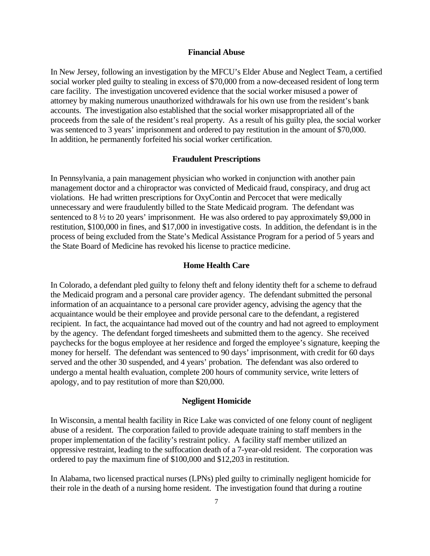#### **Financial Abuse**

In New Jersey, following an investigation by the MFCU's Elder Abuse and Neglect Team, a certified social worker pled guilty to stealing in excess of \$70,000 from a now-deceased resident of long term care facility. The investigation uncovered evidence that the social worker misused a power of attorney by making numerous unauthorized withdrawals for his own use from the resident's bank accounts. The investigation also established that the social worker misappropriated all of the proceeds from the sale of the resident's real property. As a result of his guilty plea, the social worker was sentenced to 3 years' imprisonment and ordered to pay restitution in the amount of \$70,000. In addition, he permanently forfeited his social worker certification.

#### **Fraudulent Prescriptions**

In Pennsylvania, a pain management physician who worked in conjunction with another pain management doctor and a chiropractor was convicted of Medicaid fraud, conspiracy, and drug act violations. He had written prescriptions for OxyContin and Percocet that were medically unnecessary and were fraudulently billed to the State Medicaid program. The defendant was sentenced to 8  $\frac{1}{2}$  to 20 years' imprisonment. He was also ordered to pay approximately \$9,000 in restitution, \$100,000 in fines, and \$17,000 in investigative costs. In addition, the defendant is in the process of being excluded from the State's Medical Assistance Program for a period of 5 years and the State Board of Medicine has revoked his license to practice medicine.

#### **Home Health Care**

In Colorado, a defendant pled guilty to felony theft and felony identity theft for a scheme to defraud the Medicaid program and a personal care provider agency. The defendant submitted the personal information of an acquaintance to a personal care provider agency, advising the agency that the acquaintance would be their employee and provide personal care to the defendant, a registered recipient. In fact, the acquaintance had moved out of the country and had not agreed to employment by the agency. The defendant forged timesheets and submitted them to the agency. She received paychecks for the bogus employee at her residence and forged the employee's signature, keeping the money for herself. The defendant was sentenced to 90 days' imprisonment, with credit for 60 days served and the other 30 suspended, and 4 years' probation. The defendant was also ordered to undergo a mental health evaluation, complete 200 hours of community service, write letters of apology, and to pay restitution of more than \$20,000.

#### **Negligent Homicide**

In Wisconsin, a mental health facility in Rice Lake was convicted of one felony count of negligent abuse of a resident. The corporation failed to provide adequate training to staff members in the proper implementation of the facility's restraint policy. A facility staff member utilized an oppressive restraint, leading to the suffocation death of a 7-year-old resident. The corporation was ordered to pay the maximum fine of \$100,000 and \$12,203 in restitution.

In Alabama, two licensed practical nurses (LPNs) pled guilty to criminally negligent homicide for their role in the death of a nursing home resident. The investigation found that during a routine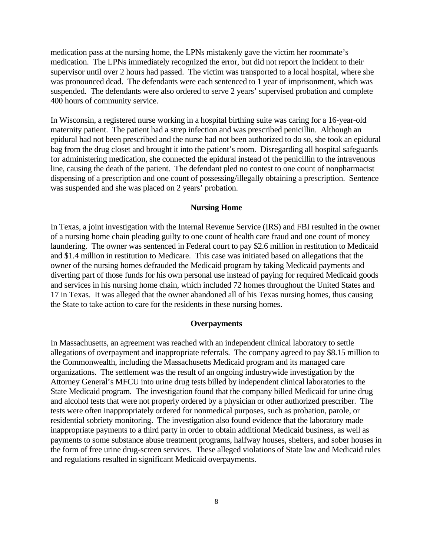medication pass at the nursing home, the LPNs mistakenly gave the victim her roommate's medication. The LPNs immediately recognized the error, but did not report the incident to their supervisor until over 2 hours had passed. The victim was transported to a local hospital, where she was pronounced dead. The defendants were each sentenced to 1 year of imprisonment, which was suspended. The defendants were also ordered to serve 2 years' supervised probation and complete 400 hours of community service.

In Wisconsin, a registered nurse working in a hospital birthing suite was caring for a 16-year-old maternity patient. The patient had a strep infection and was prescribed penicillin. Although an epidural had not been prescribed and the nurse had not been authorized to do so, she took an epidural bag from the drug closet and brought it into the patient's room. Disregarding all hospital safeguards for administering medication, she connected the epidural instead of the penicillin to the intravenous line, causing the death of the patient. The defendant pled no contest to one count of nonpharmacist dispensing of a prescription and one count of possessing/illegally obtaining a prescription. Sentence was suspended and she was placed on 2 years' probation.

#### **Nursing Home**

In Texas, a joint investigation with the Internal Revenue Service (IRS) and FBI resulted in the owner of a nursing home chain pleading guilty to one count of health care fraud and one count of money laundering. The owner was sentenced in Federal court to pay \$2.6 million in restitution to Medicaid and \$1.4 million in restitution to Medicare. This case was initiated based on allegations that the owner of the nursing homes defrauded the Medicaid program by taking Medicaid payments and diverting part of those funds for his own personal use instead of paying for required Medicaid goods and services in his nursing home chain, which included 72 homes throughout the United States and 17 in Texas. It was alleged that the owner abandoned all of his Texas nursing homes, thus causing the State to take action to care for the residents in these nursing homes.

#### **Overpayments**

In Massachusetts, an agreement was reached with an independent clinical laboratory to settle allegations of overpayment and inappropriate referrals. The company agreed to pay \$8.15 million to the Commonwealth, including the Massachusetts Medicaid program and its managed care organizations. The settlement was the result of an ongoing industrywide investigation by the Attorney General's MFCU into urine drug tests billed by independent clinical laboratories to the State Medicaid program. The investigation found that the company billed Medicaid for urine drug and alcohol tests that were not properly ordered by a physician or other authorized prescriber. The tests were often inappropriately ordered for nonmedical purposes, such as probation, parole, or residential sobriety monitoring. The investigation also found evidence that the laboratory made inappropriate payments to a third party in order to obtain additional Medicaid business, as well as payments to some substance abuse treatment programs, halfway houses, shelters, and sober houses in the form of free urine drug-screen services. These alleged violations of State law and Medicaid rules and regulations resulted in significant Medicaid overpayments.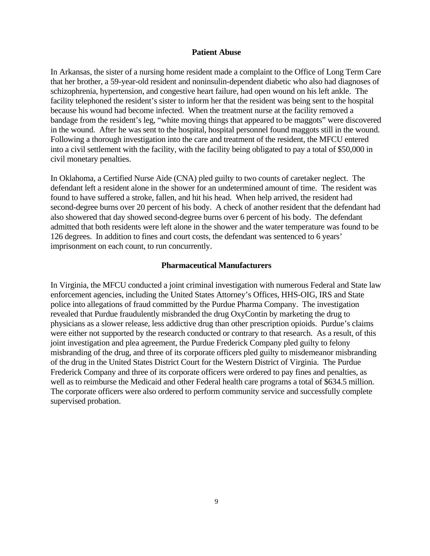#### **Patient Abuse**

In Arkansas, the sister of a nursing home resident made a complaint to the Office of Long Term Care that her brother, a 59-year-old resident and noninsulin-dependent diabetic who also had diagnoses of schizophrenia, hypertension, and congestive heart failure, had open wound on his left ankle. The facility telephoned the resident's sister to inform her that the resident was being sent to the hospital because his wound had become infected. When the treatment nurse at the facility removed a bandage from the resident's leg, "white moving things that appeared to be maggots" were discovered in the wound. After he was sent to the hospital, hospital personnel found maggots still in the wound. Following a thorough investigation into the care and treatment of the resident, the MFCU entered into a civil settlement with the facility, with the facility being obligated to pay a total of \$50,000 in civil monetary penalties.

In Oklahoma, a Certified Nurse Aide (CNA) pled guilty to two counts of caretaker neglect. The defendant left a resident alone in the shower for an undetermined amount of time. The resident was found to have suffered a stroke, fallen, and hit his head. When help arrived, the resident had second-degree burns over 20 percent of his body. A check of another resident that the defendant had also showered that day showed second-degree burns over 6 percent of his body. The defendant admitted that both residents were left alone in the shower and the water temperature was found to be 126 degrees. In addition to fines and court costs, the defendant was sentenced to 6 years' imprisonment on each count, to run concurrently.

#### **Pharmaceutical Manufacturers**

In Virginia, the MFCU conducted a joint criminal investigation with numerous Federal and State law enforcement agencies, including the United States Attorney's Offices, HHS-OIG, IRS and State police into allegations of fraud committed by the Purdue Pharma Company. The investigation revealed that Purdue fraudulently misbranded the drug OxyContin by marketing the drug to physicians as a slower release, less addictive drug than other prescription opioids. Purdue's claims were either not supported by the research conducted or contrary to that research. As a result, of this joint investigation and plea agreement, the Purdue Frederick Company pled guilty to felony misbranding of the drug, and three of its corporate officers pled guilty to misdemeanor misbranding of the drug in the United States District Court for the Western District of Virginia. The Purdue Frederick Company and three of its corporate officers were ordered to pay fines and penalties, as well as to reimburse the Medicaid and other Federal health care programs a total of \$634.5 million. The corporate officers were also ordered to perform community service and successfully complete supervised probation.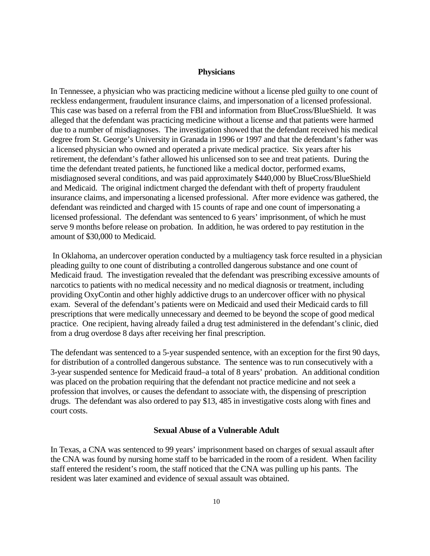#### **Physicians**

reckless endangerment, fraudulent insurance claims, and impersonation of a licensed professional. due to a number of misdiagnoses. The investigation showed that the defendant received his medical In Tennessee, a physician who was practicing medicine without a license pled guilty to one count of This case was based on a referral from the FBI and information from BlueCross/BlueShield. It was alleged that the defendant was practicing medicine without a license and that patients were harmed degree from St. George's University in Granada in 1996 or 1997 and that the defendant's father was a licensed physician who owned and operated a private medical practice. Six years after his retirement, the defendant's father allowed his unlicensed son to see and treat patients. During the time the defendant treated patients, he functioned like a medical doctor, performed exams, misdiagnosed several conditions, and was paid approximately \$440,000 by BlueCross/BlueShield and Medicaid. The original indictment charged the defendant with theft of property fraudulent insurance claims, and impersonating a licensed professional. After more evidence was gathered, the defendant was reindicted and charged with 15 counts of rape and one count of impersonating a licensed professional. The defendant was sentenced to 6 years' imprisonment, of which he must serve 9 months before release on probation. In addition, he was ordered to pay restitution in the amount of \$30,000 to Medicaid.

 In Oklahoma, an undercover operation conducted by a multiagency task force resulted in a physician pleading guilty to one count of distributing a controlled dangerous substance and one count of Medicaid fraud. The investigation revealed that the defendant was prescribing excessive amounts of narcotics to patients with no medical necessity and no medical diagnosis or treatment, including providing OxyContin and other highly addictive drugs to an undercover officer with no physical exam. Several of the defendant's patients were on Medicaid and used their Medicaid cards to fill prescriptions that were medically unnecessary and deemed to be beyond the scope of good medical practice. One recipient, having already failed a drug test administered in the defendant's clinic, died from a drug overdose 8 days after receiving her final prescription.

for distribution of a controlled dangerous substance. The sentence was to run consecutively with a The defendant was sentenced to a 5-year suspended sentence, with an exception for the first 90 days, 3-year suspended sentence for Medicaid fraud–a total of 8 years' probation. An additional condition was placed on the probation requiring that the defendant not practice medicine and not seek a profession that involves, or causes the defendant to associate with, the dispensing of prescription drugs. The defendant was also ordered to pay \$13, 485 in investigative costs along with fines and court costs.

### **Sexual Abuse of a Vulnerable Adult**

In Texas, a CNA was sentenced to 99 years' imprisonment based on charges of sexual assault after the CNA was found by nursing home staff to be barricaded in the room of a resident. When facility staff entered the resident's room, the staff noticed that the CNA was pulling up his pants. The resident was later examined and evidence of sexual assault was obtained.